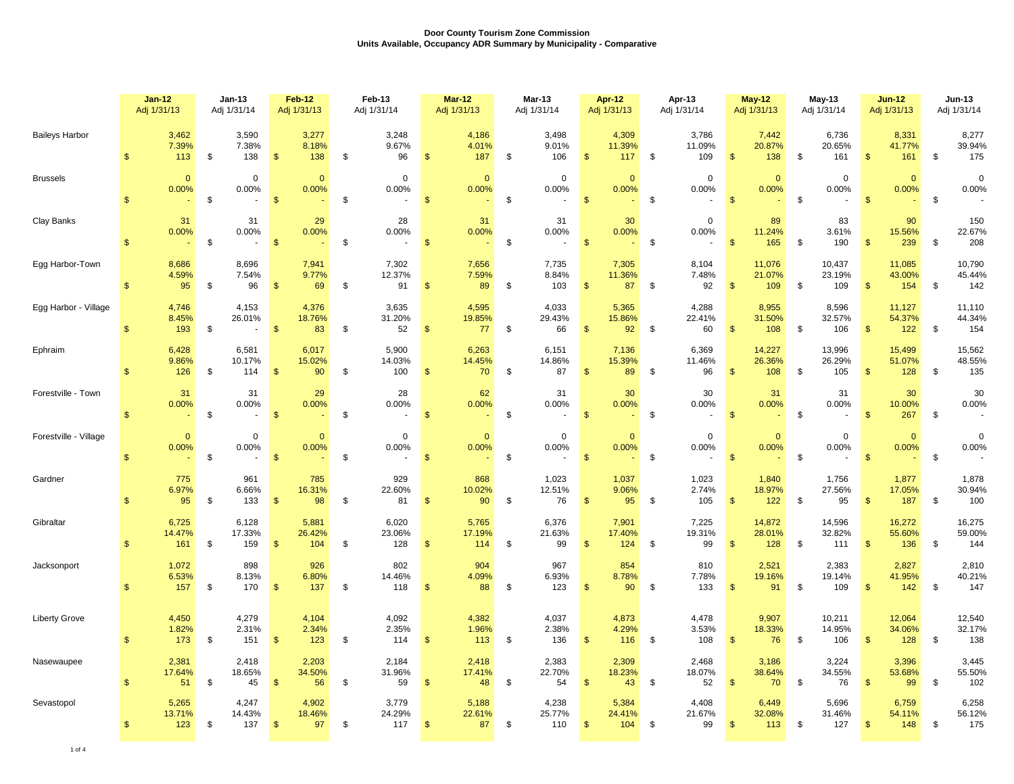|                       | $Jan-12$<br>Adj 1/31/13 |                                   | Jan-13<br>Adj 1/31/14 |                           |                | <b>Feb-12</b><br>Adj 1/31/13 | Feb-13<br>Adj 1/31/14 |                                         | $Mar-12$<br>Adj 1/31/13                  | Mar-13<br>Adj 1/31/14        |                    | Apr-12<br>Adj 1/31/13  |                          | Apr-13<br>Adj 1/31/14  |                    | <b>May-12</b><br>Adj 1/31/13 | $May-13$<br>Adj 1/31/14       |               | <b>Jun-12</b><br>Adj 1/31/13 |      | <b>Jun-13</b><br>Adj 1/31/14 |
|-----------------------|-------------------------|-----------------------------------|-----------------------|---------------------------|----------------|------------------------------|-----------------------|-----------------------------------------|------------------------------------------|------------------------------|--------------------|------------------------|--------------------------|------------------------|--------------------|------------------------------|-------------------------------|---------------|------------------------------|------|------------------------------|
| <b>Baileys Harbor</b> | $\mathfrak{s}$          | 3,462<br>7.39%<br>113             | \$                    | 3,590<br>7.38%<br>138     | $\sqrt[6]{3}$  | 3,277<br>8.18%<br>138        | $\sqrt[6]{3}$         | 3,248<br>9.67%<br>96                    | 4,186<br>4.01%<br>\$<br>187              | \$<br>3,498<br>9.01%<br>106  | $\mathbf{\$}$      | 4,309<br>11.39%<br>117 | \$                       | 3,786<br>11.09%<br>109 | $\sqrt[6]{3}$      | 7,442<br>20.87%<br>138       | \$<br>6,736<br>20.65%<br>161  | $\sqrt{3}$    | 8,331<br>41.77%<br>161       | \$   | 8,277<br>39.94%<br>175       |
| <b>Brussels</b>       | $\mathfrak{s}$          | $\mathbf{0}$<br>0.00%<br>$\omega$ | \$                    | $\mathbf 0$<br>0.00%      | $\sqrt{3}$     | $\overline{0}$<br>0.00%      | \$                    | $\mathbf{0}$<br>0.00%<br>$\sim$         | $\mathbf{0}$<br>0.00%<br>\$              | \$<br>$\mathbf 0$<br>0.00%   | $\mathbf{\$}$      | $\mathbf{0}$<br>0.00%  | \$                       | $\mathbf 0$<br>0.00%   | $\mathbf{\hat{s}}$ | $\mathbf{0}$<br>0.00%        | \$<br>$\mathbf 0$<br>0.00%    | $\mathbf{s}$  | $\mathbf{0}$<br>0.00%        | \$   | $\mathbf 0$<br>0.00%         |
| Clay Banks            | $\mathfrak{s}$          | 31<br>0.00%                       | \$                    | 31<br>0.00%<br>$\sim$     | $\mathbf{\$}$  | 29<br>0.00%                  | \$                    | 28<br>0.00%<br>$\sim$                   | 31<br>0.00%<br>$\mathbf{\hat{s}}$        | \$<br>31<br>0.00%            | $\mathbf{s}$       | 30<br>0.00%            | \$                       | $\mathbf 0$<br>0.00%   | $\mathbf{\hat{s}}$ | 89<br>11.24%<br>165          | \$<br>83<br>3.61%<br>190      | $\mathbf{s}$  | 90<br>15.56%<br>239          | \$   | 150<br>22.67%<br>208         |
| Egg Harbor-Town       | $\mathfrak{s}$          | 8,686<br>4.59%<br>95              | \$                    | 8,696<br>7.54%<br>96      | $\sqrt{3}$     | 7,941<br>9.77%<br>69         | \$                    | 7,302<br>12.37%<br>91                   | 7,656<br>7.59%<br>89<br>\$               | \$<br>7,735<br>8.84%<br>103  | $\mathbf{s}$       | 7,305<br>11.36%<br>87  | $\overline{\phantom{a}}$ | 8,104<br>7.48%<br>92   | $\sqrt{2}$         | 11,076<br>21.07%<br>109      | \$<br>10,437<br>23.19%<br>109 | $\mathbf{\$}$ | 11,085<br>43.00%<br>154      | \$   | 10,790<br>45.44%<br>142      |
| Egg Harbor - Village  | $\mathfrak{s}$          | 4,746<br>8.45%<br>193             | \$                    | 4,153<br>26.01%<br>$\sim$ | $\sqrt{3}$     | 4,376<br>18.76%<br>83        | \$                    | 3,635<br>31.20%<br>52                   | 4,595<br>19.85%<br>77<br>\$              | \$<br>4,033<br>29.43%<br>66  | $\mathbf{\$}$      | 5,365<br>15.86%<br>92  | \$                       | 4,288<br>22.41%<br>60  | $\mathbf{\$}$      | 8,955<br>31.50%<br>108       | \$<br>8,596<br>32.57%<br>106  | $\mathbf{s}$  | 11,127<br>54.37%<br>122      | - \$ | 11,110<br>44.34%<br>154      |
| Ephraim               | $\mathfrak{s}$          | 6,428<br>9.86%<br>126             | \$                    | 6,581<br>10.17%<br>114    | $\mathfrak{s}$ | 6,017<br>15.02%<br>90        | \$                    | 5,900<br>14.03%<br>100                  | 6,263<br>14.45%<br>70<br>$\mathfrak{s}$  | \$<br>6,151<br>14.86%<br>87  | $$^{\circ}$        | 7,136<br>15.39%<br>89  | \$                       | 6,369<br>11.46%<br>96  | $\mathbf{\$}$      | 14,227<br>26.36%<br>108      | \$<br>13,996<br>26.29%<br>105 | $\mathbf{\$}$ | 15,499<br>51.07%<br>128      | \$   | 15,562<br>48.55%<br>135      |
| Forestville - Town    | $\mathfrak{s}$          | 31<br>0.00%                       | \$                    | 31<br>0.00%               | $\mathfrak{s}$ | 29<br>0.00%                  | \$                    | 28<br>0.00%<br>$\overline{\phantom{a}}$ | 62<br>0.00%<br>\$                        | \$<br>31<br>0.00%            | $\mathsf{\$}$      | 30<br>0.00%            | \$                       | 30<br>0.00%            | $\mathbf{\$}$      | 31<br>0.00%                  | \$<br>31<br>0.00%             | $\mathbf{\$}$ | 30<br>10.00%<br>267          | \$   | 30<br>0.00%                  |
| Forestville - Village | $\mathbf{\$}$           | $\mathbf{0}$<br>0.00%             | \$                    | $\mathbf 0$<br>0.00%      | $\sqrt[6]{3}$  | $\Omega$<br>0.00%            | \$                    | $\mathbf 0$<br>0.00%<br>$\blacksquare$  | $\mathbf{0}$<br>0.00%<br>$\sqrt[6]{3}$   | \$<br>$\mathbf 0$<br>0.00%   | $\mathbf{s}$       | $\mathbf{0}$<br>0.00%  | \$                       | $\mathbf 0$<br>0.00%   | $\sqrt{3}$         | $\overline{0}$<br>0.00%      | \$<br>$\mathbf 0$<br>0.00%    | $\mathbf{\$}$ | $\mathbf{0}$<br>0.00%        | \$   | $\mathbf 0$<br>0.00%         |
| Gardner               | $\mathfrak{s}$          | 775<br>6.97%<br>95                | \$                    | 961<br>6.66%<br>133       | $\mathbf{\$}$  | 785<br>16.31%<br>98          | $\sqrt{2}$            | 929<br>22.60%<br>81                     | 868<br>10.02%<br>90<br>$\mathfrak{s}$    | \$<br>1,023<br>12.51%<br>76  | $\mathbf{\$}$      | 1,037<br>9.06%<br>95   | \$                       | 1,023<br>2.74%<br>105  | $\mathbf{\$}$      | 1,840<br>18.97%<br>122       | \$<br>1,756<br>27.56%<br>95   | \$            | 1,877<br>17.05%<br>187       | \$   | 1,878<br>30.94%<br>100       |
| Gibraltar             | $\mathbb{S}$            | 6,725<br>14.47%<br>161            | \$                    | 6,128<br>17.33%<br>159    | $\mathbf{\$}$  | 5,881<br>26.42%<br>104       | \$                    | 6,020<br>23.06%<br>128                  | 5,765<br>17.19%<br>114<br>$\mathfrak{s}$ | \$<br>6,376<br>21.63%<br>99  | $\mathbf{s}$       | 7,901<br>17.40%<br>124 | \$                       | 7,225<br>19.31%<br>99  | $\mathbf{\$}$      | 14,872<br>28.01%<br>128      | \$<br>14,596<br>32.82%<br>111 | $\sqrt{3}$    | 16,272<br>55.60%<br>136      | \$   | 16,275<br>59.00%<br>144      |
| Jacksonport           | $\mathbb{S}$            | 1,072<br>6.53%<br>157             | \$                    | 898<br>8.13%<br>170       | $\sqrt[6]{3}$  | 926<br>6.80%<br>137          | \$                    | 802<br>14.46%<br>118                    | 904<br>4.09%<br>88<br>$\frac{1}{2}$      | \$<br>967<br>6.93%<br>123    | $\mathbf{s}$       | 854<br>8.78%<br>90     | \$                       | 810<br>7.78%<br>133    | $\sqrt[6]{3}$      | 2,521<br>19.16%<br>91        | \$<br>2,383<br>19.14%<br>109  | $\mathbf{s}$  | 2,827<br>41.95%<br>142       | \$   | 2,810<br>40.21%<br>147       |
| <b>Liberty Grove</b>  | \$                      | 4,450<br>1.82%<br>173             | \$                    | 4,279<br>2.31%<br>151     | $\sqrt[6]{3}$  | 4,104<br>2.34%<br>123        | \$                    | 4,092<br>2.35%<br>114                   | 4,382<br>1.96%<br>113<br>$\frac{1}{2}$   | \$<br>4,037<br>2.38%<br>136  | $\mathsf{\$}$      | 4,873<br>4.29%<br>116  | \$                       | 4,478<br>3.53%<br>108  | $\sqrt{2}$         | 9,907<br>18.33%<br>76        | \$<br>10,211<br>14.95%<br>106 | $\mathbf{\$}$ | 12,064<br>34.06%<br>128      | \$   | 12,540<br>32.17%<br>138      |
| Nasewaupee            | \$                      | 2,381<br>17.64%<br>51             | \$                    | 2,418<br>18.65%<br>45     | $\sqrt[6]{3}$  | 2,203<br>34.50%<br>56        | \$                    | 2,184<br>31.96%<br>59                   | 2,418<br>17.41%<br>48<br>$\frac{1}{2}$   | \$<br>2,383<br>22.70%<br>54  | $\mathbf{\hat{s}}$ | 2,309<br>18.23%<br>43  | \$                       | 2,468<br>18.07%<br>52  | $\sqrt{2}$         | 3,186<br>38.64%<br>70        | \$<br>3,224<br>34.55%<br>76   | $\mathbf{\$}$ | 3,396<br>53.68%<br>99        | \$   | 3,445<br>55.50%<br>102       |
| Sevastopol            | $\mathsf{\$}$           | 5,265<br>13.71%<br>123            | \$                    | 4,247<br>14.43%<br>137    | $\sqrt{2}$     | 4,902<br>18.46%<br>97        | \$                    | 3,779<br>24.29%<br>117                  | 5,188<br>22.61%<br>87<br>$\frac{3}{2}$   | \$<br>4,238<br>25.77%<br>110 | $\sqrt{3}$         | 5,384<br>24.41%<br>104 | \$                       | 4,408<br>21.67%<br>99  | $\sqrt[6]{3}$      | 6,449<br>32.08%<br>113       | \$<br>5,696<br>31.46%<br>127  | $\sqrt{3}$    | 6,759<br>54.11%<br>148       | \$   | 6,258<br>56.12%<br>175       |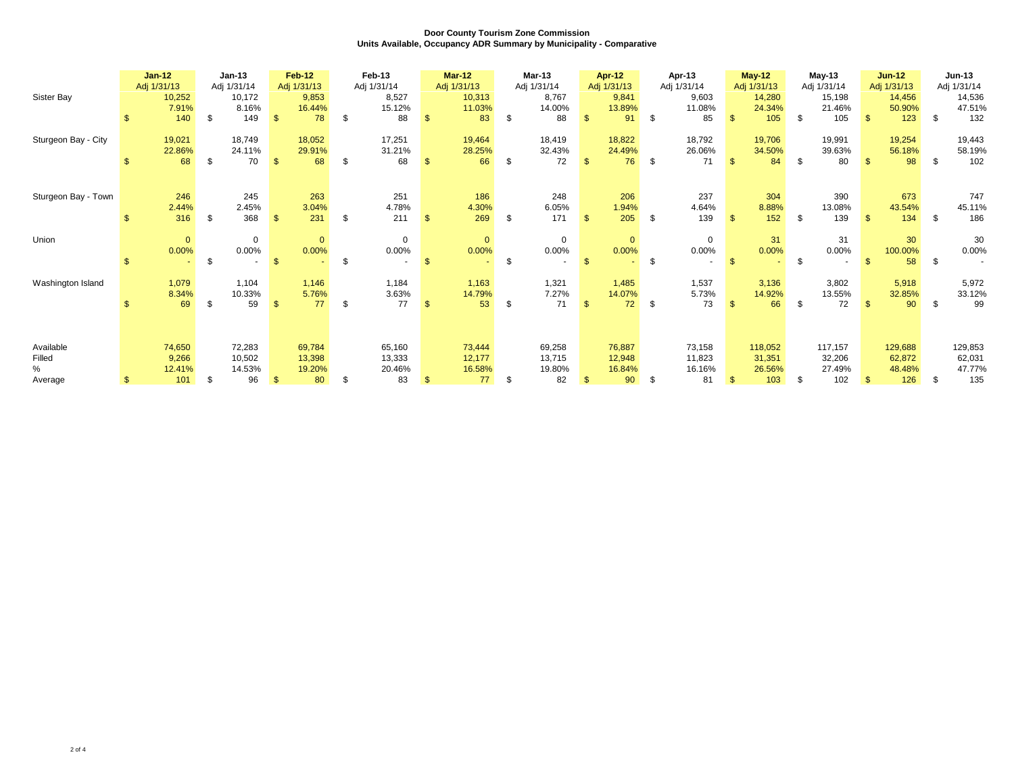|                     |     | $Jan-12$<br>Adj 1/31/13 | $Jan-13$<br>Adj 1/31/14 |                | <b>Feb-12</b><br>Adj 1/31/13 |     | Feb-13<br>Adj 1/31/14 |              | <b>Mar-12</b><br>Adj 1/31/13 | <b>Mar-13</b><br>Adj 1/31/14 |               | <b>Apr-12</b><br>Adj 1/31/13 |      | Apr-13<br>Adj 1/31/14 |                | $May-12$<br>Adj 1/31/13 |      | $May-13$<br>Adj 1/31/14 |              | $Jun-12$<br>Adj 1/31/13 |      | <b>Jun-13</b><br>Adj 1/31/14 |
|---------------------|-----|-------------------------|-------------------------|----------------|------------------------------|-----|-----------------------|--------------|------------------------------|------------------------------|---------------|------------------------------|------|-----------------------|----------------|-------------------------|------|-------------------------|--------------|-------------------------|------|------------------------------|
| Sister Bay          |     | 10,252<br>7.91%         | 10,172<br>8.16%         |                | 9,853<br>16.44%              |     | 8,527<br>15.12%       |              | 10,313<br>11.03%             | 8.767<br>14.00%              |               | 9,841<br>13.89%              |      | 9,603<br>11.08%       |                | 14,280<br>24.34%        |      | 15,198<br>21.46%        |              | 14,456<br>50.90%        |      | 14,536<br>47.51%             |
|                     | \$. | 140                     | \$<br>149               | $\mathfrak{s}$ | 78                           | -\$ | 88                    | $\mathbf{s}$ | 83                           | \$<br>88                     | <sup>\$</sup> | 91                           | \$   | 85                    | $\mathbb{S}$   | 105                     | \$   | 105                     | $\mathbf{R}$ | 123                     | - \$ | 132                          |
| Sturgeon Bay - City |     | 19,021<br>22.86%        | 18,749<br>24.11%        |                | 18,052<br>29.91%             |     | 17,251<br>31.21%      |              | 19,464<br>28.25%             | 18,419<br>32.43%             |               | 18,822<br>24.49%             |      | 18,792<br>26.06%      |                | 19,706<br>34.50%        |      | 19,991<br>39.63%        |              | 19,254<br>56.18%        |      | 19,443<br>58.19%             |
|                     |     | 68                      | \$<br>70                | $\mathfrak{S}$ | 68                           | -\$ | 68                    | \$           | 66                           | \$<br>72                     | <sup>\$</sup> | 76                           | - \$ | 71                    | $\mathfrak{s}$ | 84                      | \$   | 80                      | $\mathbf{R}$ | 98                      | \$   | 102                          |
|                     |     |                         |                         |                |                              |     |                       |              |                              |                              |               |                              |      |                       |                |                         |      |                         |              |                         |      |                              |
| Sturgeon Bay - Town |     | 246<br>2.44%            | 245<br>2.45%            |                | 263<br>3.04%                 |     | 251<br>4.78%          |              | 186<br>4.30%                 | 248<br>6.05%                 |               | 206<br>1.94%                 |      | 237<br>4.64%          |                | 304<br>8.88%            |      | 390<br>13.08%           |              | 673<br>43.54%           |      | 747<br>45.11%                |
|                     |     | 316                     | \$<br>368               | $\mathbf{s}$   | 231                          | -\$ | 211                   | $\mathbb{S}$ | 269                          | \$<br>171                    | $\mathcal{L}$ | 205                          | - \$ | 139                   | $\mathbf{s}$   | 152                     | \$.  | 139                     |              | 134                     | - \$ | 186                          |
| Union               |     | $\mathbf{0}$            | $\mathbf 0$             |                | $\mathbf{0}$                 |     | $\mathbf 0$           |              | $\mathbf{0}$                 | $\mathbf 0$                  |               | $\mathbf{0}$                 |      | $\mathbf 0$           |                | 31                      |      | 31                      |              | 30                      |      | 30                           |
|                     |     | 0.00%                   | \$<br>0.00%             | $\mathbf{s}$   | 0.00%                        | \$  | 0.00%                 | $\mathbf{s}$ | 0.00%                        | \$<br>0.00%                  | -\$           | 0.00%                        | \$   | $0.00\%$              | $\mathcal{F}$  | 0.00%                   | \$   | 0.00%                   |              | 100.00%<br>58           | - \$ | 0.00%                        |
| Washington Island   |     | 1,079                   | 1,104                   |                | 1,146                        |     | 1,184                 |              | 1,163                        | 1,321                        |               | 1,485                        |      | 1,537                 |                | 3,136                   |      | 3,802                   |              | 5,918                   |      | 5,972                        |
|                     |     | 8.34%<br>69             | \$<br>10.33%<br>59      | $\mathbb{S}$   | 5.76%<br>77                  | \$  | 3.63%<br>77           | $\mathbf{s}$ | 14.79%<br>53                 | \$<br>7.27%<br>71            | $\mathbf{\$}$ | 14.07%<br>72                 | \$   | 5.73%<br>73           | S.             | 14.92%<br>66            | \$   | 13.55%<br>72            |              | 32.85%<br>90            | \$   | 33.12%<br>99                 |
|                     |     |                         |                         |                |                              |     |                       |              |                              |                              |               |                              |      |                       |                |                         |      |                         |              |                         |      |                              |
| Available           |     | 74,650                  | 72,283                  |                | 69,784                       |     | 65,160                |              | 73,444                       | 69,258                       |               | 76,887                       |      | 73,158                |                | 118,052                 |      | 117,157                 |              | 129,688                 |      | 129,853                      |
| Filled<br>%         |     | 9,266                   | 10,502                  |                | 13,398                       |     | 13,333                |              | 12,177                       | 13,715                       |               | 12,948                       |      | 11,823                |                | 31,351                  |      | 32,206                  |              | 62,872                  |      | 62,031                       |
| Average             |     | 12.41%<br>101           | \$<br>14.53%<br>96      | $\mathfrak{s}$ | 19.20%<br>80                 | -\$ | 20.46%<br>83          | $\mathbf{s}$ | 16.58%<br>77                 | \$<br>19.80%<br>82           | \$            | 16.84%<br>90                 | \$   | 16.16%<br>81          | $\mathbb{S}$   | 26.56%<br>103           | - \$ | 27.49%<br>102           | $\mathbf{f}$ | 48.48%<br>126           | - \$ | 47.77%<br>135                |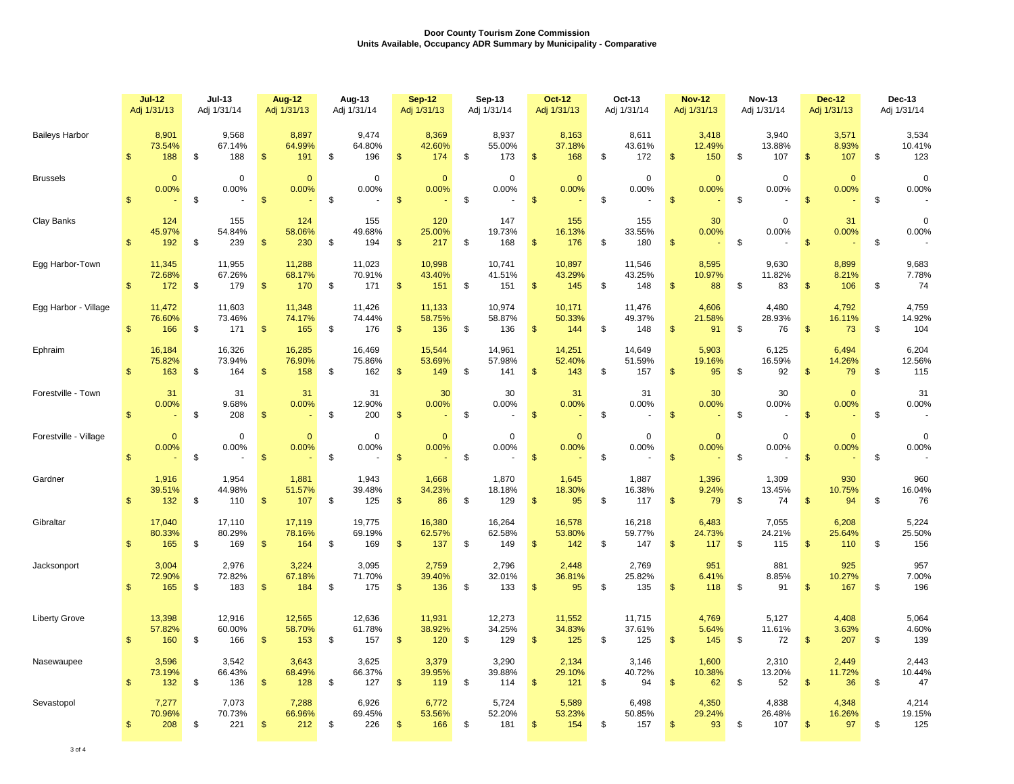|                       |                | <b>Jul-12</b><br>Adj 1/31/13 | <b>Jul-13</b><br>Adj 1/31/14  |                | <b>Aug-12</b><br>Adj 1/31/13 | Aug-13<br>Adj 1/31/14         |                | <b>Sep-12</b><br>Adj 1/31/13 | Sep-13<br>Adj 1/31/14         |                    | <b>Oct-12</b><br>Adj 1/31/13 | Oct-13<br>Adj 1/31/14         |                | <b>Nov-12</b><br>Adj 1/31/13 |               | <b>Nov-13</b><br>Adj 1/31/14 |                | <b>Dec-12</b><br>Adj 1/31/13 | Dec-13<br>Adj 1/31/14 |                        |
|-----------------------|----------------|------------------------------|-------------------------------|----------------|------------------------------|-------------------------------|----------------|------------------------------|-------------------------------|--------------------|------------------------------|-------------------------------|----------------|------------------------------|---------------|------------------------------|----------------|------------------------------|-----------------------|------------------------|
| <b>Baileys Harbor</b> | $\mathbf{s}$   | 8,901<br>73.54%<br>188       | \$<br>9,568<br>67.14%<br>188  | $\mathfrak{s}$ | 8,897<br>64.99%<br>191       | \$<br>9,474<br>64.80%<br>196  | $\mathbf{\$}$  | 8,369<br>42.60%<br>174       | \$<br>8,937<br>55.00%<br>173  | $\mathsf{\$}$      | 8,163<br>37.18%<br>168       | \$<br>8,611<br>43.61%<br>172  | $\mathfrak{s}$ | 3,418<br>12.49%<br>150       | \$            | 3,940<br>13.88%<br>107       | $\mathsf{\$}$  | 3,571<br>8.93%<br>107        | \$                    | 3,534<br>10.41%<br>123 |
| <b>Brussels</b>       | $\mathfrak{S}$ | $\mathbf{0}$<br>0.00%        | \$<br>$\mathbf 0$<br>0.00%    | $\frac{3}{2}$  | $\Omega$<br>0.00%            | \$<br>$\mathbf 0$<br>0.00%    | $\mathfrak{s}$ | $\mathbf{0}$<br>0.00%        | \$<br>$\mathbf 0$<br>0.00%    | $\sqrt{3}$         | $\mathbf{0}$<br>0.00%<br>÷   | \$<br>$\mathbf 0$<br>0.00%    | $\mathfrak{s}$ | $\mathbf{0}$<br>0.00%        | \$            | $\mathbf 0$<br>0.00%         | $\mathbf{\$}$  | $\mathbf{0}$<br>0.00%        | \$                    | $\mathbf 0$<br>0.00%   |
| Clay Banks            | $\mathbf{s}$   | 124<br>45.97%<br>192         | \$<br>155<br>54.84%<br>239    | $\mathfrak{s}$ | 124<br>58.06%<br>230         | \$<br>155<br>49.68%<br>194    | $\mathbf{\$}$  | 120<br>25.00%<br>217         | \$<br>147<br>19.73%<br>168    | -\$                | 155<br>16.13%<br>176         | \$<br>155<br>33.55%<br>180    | $\mathfrak{s}$ | 30<br>0.00%                  | \$            | $\mathbf 0$<br>0.00%         | $\mathfrak{s}$ | 31<br>0.00%                  | $\mathbb S$           | $\mathbf 0$<br>0.00%   |
| Egg Harbor-Town       | $\mathbf{\$}$  | 11,345<br>72.68%<br>172      | \$<br>11,955<br>67.26%<br>179 | $\frac{3}{2}$  | 11,288<br>68.17%<br>170      | \$<br>11,023<br>70.91%<br>171 | -\$            | 10,998<br>43.40%<br>151      | \$<br>10,741<br>41.51%<br>151 | $\sqrt[6]{3}$      | 10,897<br>43.29%<br>145      | \$<br>11,546<br>43.25%<br>148 | $\mathfrak{s}$ | 8,595<br>10.97%<br>88        | \$            | 9,630<br>11.82%<br>83        | $\frac{3}{2}$  | 8,899<br>8.21%<br>106        | \$                    | 9,683<br>7.78%<br>74   |
| Egg Harbor - Village  | $\mathbb{S}$   | 11,472<br>76.60%<br>166      | \$<br>11,603<br>73.46%<br>171 | $\frac{3}{2}$  | 11,348<br>74.17%<br>165      | \$<br>11,426<br>74.44%<br>176 | $\mathbf{\$}$  | 11,133<br>58.75%<br>136      | \$<br>10,974<br>58.87%<br>136 | $\mathbf{\hat{5}}$ | 10,171<br>50.33%<br>144      | \$<br>11,476<br>49.37%<br>148 | $\mathfrak{s}$ | 4,606<br>21.58%<br>91        | \$            | 4,480<br>28.93%<br>76        | $\frac{3}{2}$  | 4,792<br>16.11%<br>73        | \$                    | 4,759<br>14.92%<br>104 |
| Ephraim               | $\mathbf{s}$   | 16,184<br>75.82%<br>163      | \$<br>16,326<br>73.94%<br>164 | $\mathfrak{s}$ | 16,285<br>76.90%<br>158      | \$<br>16,469<br>75.86%<br>162 | -\$            | 15,544<br>53.69%<br>149      | \$<br>14,961<br>57.98%<br>141 | $\mathfrak{s}$     | 14,251<br>52.40%<br>143      | \$<br>14,649<br>51.59%<br>157 | $\mathfrak{s}$ | 5,903<br>19.16%<br>95        | -\$           | 6,125<br>16.59%<br>92        | $\mathfrak{s}$ | 6,494<br>14.26%<br>79        | \$                    | 6,204<br>12.56%<br>115 |
| Forestville - Town    | $\mathsf{\$}$  | 31<br>0.00%                  | \$<br>31<br>9.68%<br>208      | \$             | 31<br>0.00%                  | \$<br>31<br>12.90%<br>200     | $\mathbf{\$}$  | 30<br>0.00%                  | \$<br>30<br>0.00%             | $\mathsf{\$}$      | 31<br>0.00%                  | \$<br>31<br>0.00%             | $\mathfrak{s}$ | 30<br>0.00%                  | \$            | 30<br>0.00%                  | $\mathsf{\$}$  | $\Omega$<br>0.00%            | \$                    | 31<br>0.00%            |
| Forestville - Village | $\mathfrak{s}$ | $\mathbf{0}$<br>0.00%<br>÷   | \$<br>$\mathbf 0$<br>0.00%    | $\sqrt{3}$     | $\Omega$<br>0.00%            | \$<br>$\mathbf 0$<br>0.00%    | \$             | $\mathbf{0}$<br>0.00%        | \$<br>$\Omega$<br>0.00%       | $\sqrt[6]{3}$      | $\mathbf{0}$<br>0.00%<br>÷   | \$<br>$\mathbf 0$<br>0.00%    | $\mathfrak{s}$ | $\Omega$<br>0.00%            | $\sqrt[6]{3}$ | $\mathbf 0$<br>0.00%         | $\frac{3}{2}$  | $\Omega$<br>0.00%            | \$                    | $\Omega$<br>0.00%      |
| Gardner               | $\mathbf{s}$   | 1,916<br>39.51%<br>132       | \$<br>1,954<br>44.98%<br>110  | $\mathfrak{s}$ | 1,881<br>51.57%<br>107       | \$<br>1,943<br>39.48%<br>125  | $\mathbf{\$}$  | 1,668<br>34.23%<br>86        | \$<br>1,870<br>18.18%<br>129  | -\$                | 1,645<br>18.30%<br>95        | \$<br>1,887<br>16.38%<br>117  | $\mathfrak{s}$ | 1,396<br>9.24%<br>79         | \$            | 1,309<br>13.45%<br>74        | $\mathfrak{s}$ | 930<br>10.75%<br>94          | \$                    | 960<br>16.04%<br>76    |
| Gibraltar             | $\mathbf{s}$   | 17,040<br>80.33%<br>165      | \$<br>17,110<br>80.29%<br>169 | $\frac{3}{2}$  | 17,119<br>78.16%<br>164      | \$<br>19,775<br>69.19%<br>169 | \$             | 16,380<br>62.57%<br>137      | \$<br>16,264<br>62.58%<br>149 | \$                 | 16,578<br>53.80%<br>142      | \$<br>16,218<br>59.77%<br>147 | $\mathfrak{s}$ | 6,483<br>24.73%<br>117       | \$            | 7,055<br>24.21%<br>115       | $\frac{3}{2}$  | 6,208<br>25.64%<br>110       | \$                    | 5,224<br>25.50%<br>156 |
| Jacksonport           | $\mathbf{s}$   | 3,004<br>72.90%<br>165       | \$<br>2,976<br>72.82%<br>183  | $\frac{3}{2}$  | 3,224<br>67.18%<br>184       | \$<br>3,095<br>71.70%<br>175  | $\mathfrak{s}$ | 2,759<br>39.40%<br>136       | \$<br>2,796<br>32.01%<br>133  | $\sqrt{2}$         | 2,448<br>36.81%<br>95        | \$<br>2,769<br>25.82%<br>135  | $\mathfrak{s}$ | 951<br>6.41%<br>118          | \$            | 881<br>8.85%<br>91           | $\frac{3}{2}$  | 925<br>10.27%<br>167         | \$                    | 957<br>7.00%<br>196    |
| <b>Liberty Grove</b>  | $\mathbf{s}$   | 13,398<br>57.82%<br>160      | \$<br>12,916<br>60.00%<br>166 | $\mathfrak{s}$ | 12,565<br>58.70%<br>153      | \$<br>12,636<br>61.78%<br>157 | $\mathbf{\$}$  | 11,931<br>38.92%<br>120      | \$<br>12,273<br>34.25%<br>129 | -\$                | 11,552<br>34.83%<br>125      | \$<br>11,715<br>37.61%<br>125 | $\mathbf{\$}$  | 4,769<br>5.64%<br>145        | \$            | 5,127<br>11.61%<br>72        | $\mathfrak{s}$ | 4,408<br>3.63%<br>207        | \$                    | 5,064<br>4.60%<br>139  |
| Nasewaupee            | $\mathbf{s}$   | 3,596<br>73.19%<br>132       | \$<br>3,542<br>66.43%<br>136  | $\mathfrak{s}$ | 3,643<br>68.49%<br>128       | \$<br>3,625<br>66.37%<br>127  | \$             | 3,379<br>39.95%<br>119       | \$<br>3,290<br>39.88%<br>114  | \$                 | 2,134<br>29.10%<br>121       | \$<br>3,146<br>40.72%<br>94   | $\mathbb{S}$   | 1,600<br>10.38%<br>62        | \$            | 2,310<br>13.20%<br>52        | $\mathbf{s}$   | 2,449<br>11.72%<br>36        | \$                    | 2,443<br>10.44%<br>47  |
| Sevastopol            | $\frac{2}{3}$  | 7,277<br>70.96%<br>208       | \$<br>7,073<br>70.73%<br>221  | \$             | 7,288<br>66.96%<br>212       | \$<br>6,926<br>69.45%<br>226  | $\sqrt[6]{3}$  | 6,772<br>53.56%<br>166       | \$<br>5,724<br>52.20%<br>181  | $\sqrt[6]{3}$      | 5,589<br>53.23%<br>154       | \$<br>6,498<br>50.85%<br>157  | $\mathfrak{s}$ | 4,350<br>29.24%<br>93        | \$            | 4,838<br>26.48%<br>107       | \$             | 4,348<br>16.26%<br>97        | \$                    | 4,214<br>19.15%<br>125 |